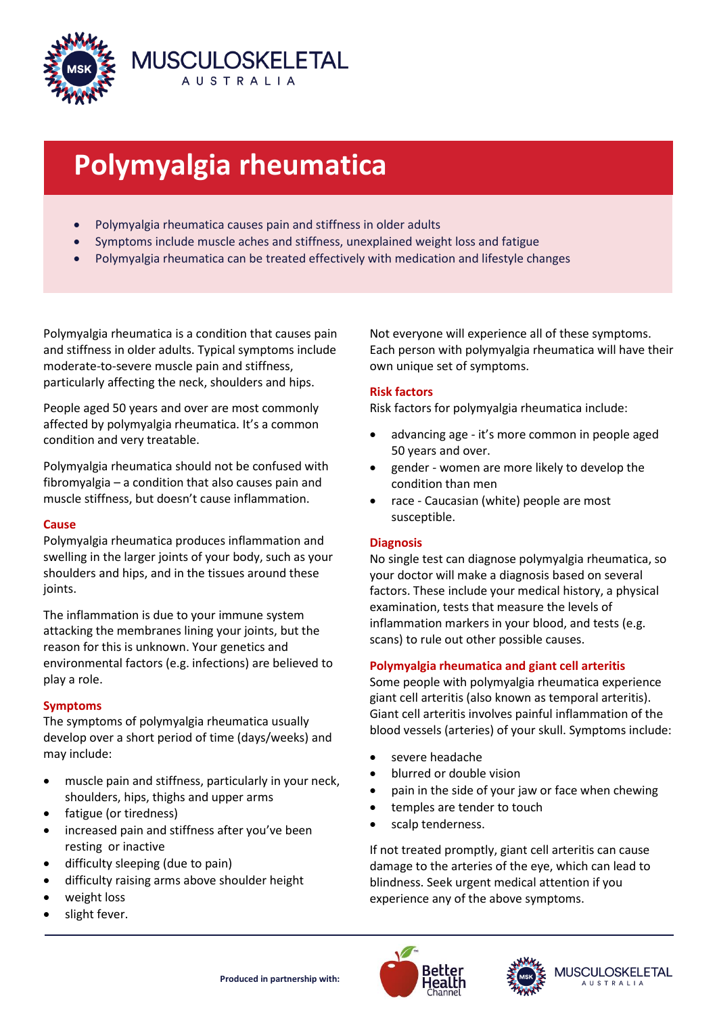

# **Polymyalgia rheumatica**

- Polymyalgia rheumatica causes pain and stiffness in older adults
- Symptoms include muscle aches and stiffness, unexplained weight loss and fatigue
- Polymyalgia rheumatica can be treated effectively with medication and lifestyle changes

Polymyalgia rheumatica is a condition that causes pain and stiffness in older adults. Typical symptoms include moderate-to-severe muscle pain and stiffness, particularly affecting the neck, shoulders and hips.

People aged 50 years and over are most commonly affected by polymyalgia rheumatica. It's a common condition and very treatable.

Polymyalgia rheumatica should not be confused with fibromyalgia – a condition that also causes pain and muscle stiffness, but doesn't cause inflammation.

### **Cause**

Polymyalgia rheumatica produces inflammation and swelling in the larger joints of your body, such as your shoulders and hips, and in the tissues around these joints.

The inflammation is due to your immune system attacking the membranes lining your joints, but the reason for this is unknown. Your genetics and environmental factors (e.g. infections) are believed to play a role.

### **Symptoms**

The symptoms of polymyalgia rheumatica usually develop over a short period of time (days/weeks) and may include:

- muscle pain and stiffness, particularly in your neck, shoulders, hips, thighs and upper arms
- fatigue (or tiredness)
- increased pain and stiffness after you've been resting or inactive
- difficulty sleeping (due to pain)
- difficulty raising arms above shoulder height
- weight loss
- slight fever.

Not everyone will experience all of these symptoms. Each person with polymyalgia rheumatica will have their own unique set of symptoms.

## **Risk factors**

Risk factors for polymyalgia rheumatica include:

- advancing age it's more common in people aged 50 years and over.
- gender women are more likely to develop the condition than men
- race Caucasian (white) people are most susceptible.

### **Diagnosis**

No single test can diagnose polymyalgia rheumatica, so your doctor will make a diagnosis based on several factors. These include your medical history, a physical examination, tests that measure the levels of inflammation markers in your blood, and tests (e.g. scans) to rule out other possible causes.

## **Polymyalgia rheumatica and giant cell arteritis**

Some people with polymyalgia rheumatica experience giant cell arteritis (also known as temporal arteritis). Giant cell arteritis involves painful inflammation of the blood vessels (arteries) of your skull. Symptoms include:

- severe headache
- blurred or double vision
- pain in the side of your jaw or face when chewing
- temples are tender to touch
- scalp tenderness.

If not treated promptly, giant cell arteritis can cause damage to the arteries of the eye, which can lead to blindness. Seek urgent medical attention if you experience any of the above symptoms.